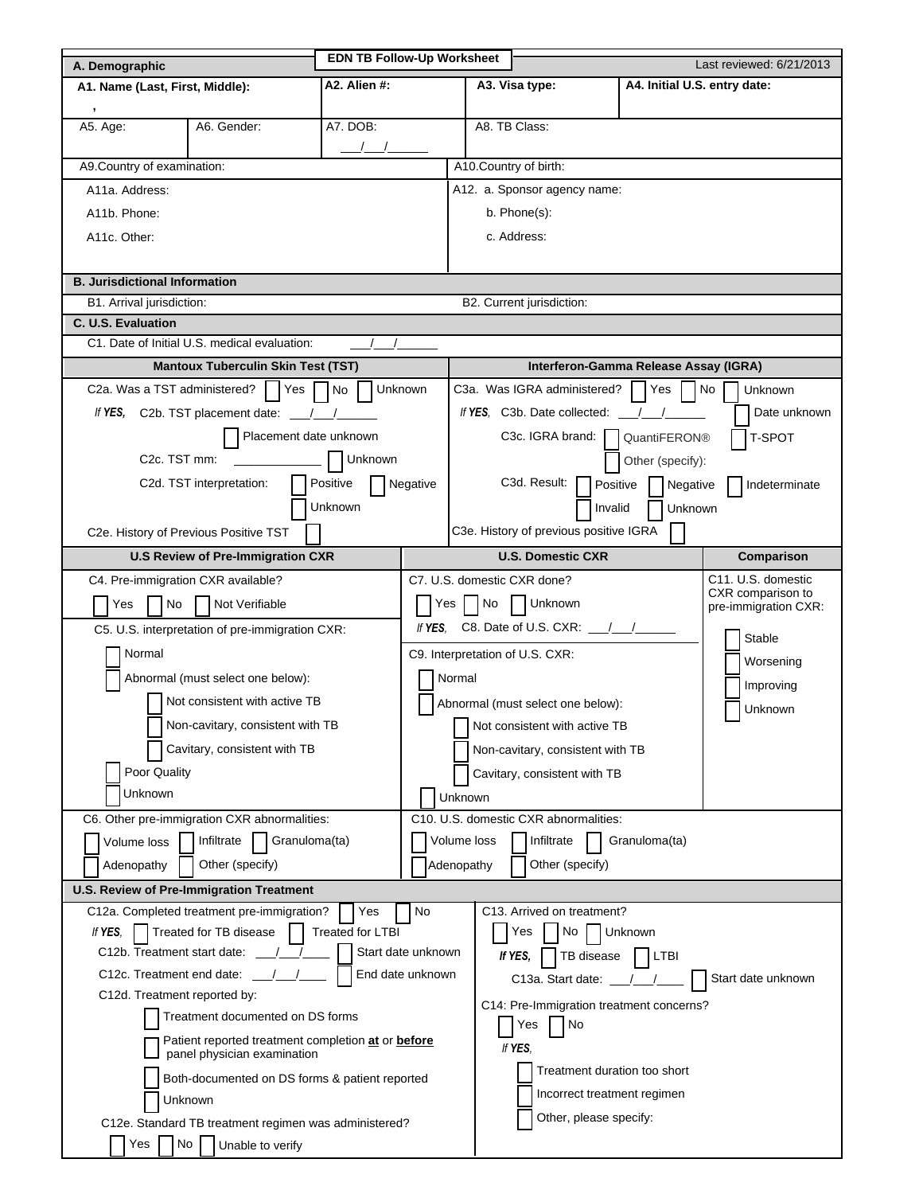| A. Demographic                                                                                         |               | <b>EDN TB Follow-Up Worksheet</b> |                                                                   | Last reviewed: 6/21/2013                         |                              |                                  |  |  |  |
|--------------------------------------------------------------------------------------------------------|---------------|-----------------------------------|-------------------------------------------------------------------|--------------------------------------------------|------------------------------|----------------------------------|--|--|--|
| A1. Name (Last, First, Middle):                                                                        | A2. Alien #:  |                                   |                                                                   | A3. Visa type:                                   | A4. Initial U.S. entry date: |                                  |  |  |  |
| $\,$                                                                                                   |               |                                   |                                                                   |                                                  |                              |                                  |  |  |  |
| A5. Age:<br>A6. Gender:                                                                                | A7. DOB:      |                                   |                                                                   | A8. TB Class:                                    |                              |                                  |  |  |  |
|                                                                                                        | $\frac{1}{2}$ |                                   |                                                                   |                                                  |                              |                                  |  |  |  |
| A9.Country of examination:                                                                             |               |                                   | A10.Country of birth:                                             |                                                  |                              |                                  |  |  |  |
| A11a. Address:                                                                                         |               |                                   | A12. a. Sponsor agency name:                                      |                                                  |                              |                                  |  |  |  |
| A11b. Phone:                                                                                           |               |                                   | b. Phone(s):                                                      |                                                  |                              |                                  |  |  |  |
| A11c. Other:                                                                                           |               |                                   | c. Address:                                                       |                                                  |                              |                                  |  |  |  |
|                                                                                                        |               |                                   |                                                                   |                                                  |                              |                                  |  |  |  |
| <b>B. Jurisdictional Information</b>                                                                   |               |                                   |                                                                   |                                                  |                              |                                  |  |  |  |
| B2. Current jurisdiction:<br>B1. Arrival jurisdiction:<br>C. U.S. Evaluation                           |               |                                   |                                                                   |                                                  |                              |                                  |  |  |  |
| C1. Date of Initial U.S. medical evaluation:                                                           |               | $\frac{1}{2}$                     |                                                                   |                                                  |                              |                                  |  |  |  |
| <b>Mantoux Tuberculin Skin Test (TST)</b>                                                              |               |                                   |                                                                   | Interferon-Gamma Release Assay (IGRA)            |                              |                                  |  |  |  |
| C2a. Was a TST administered? $\bigcap$ Yes $\bigcap$ No $\bigcap$                                      | Unknown       |                                   | C3a. Was IGRA administered?<br>l No<br>l Yes<br>Unknown           |                                                  |                              |                                  |  |  |  |
| If YES, C2b. TST placement date: $\frac{1}{\sqrt{1-\frac{1}{2}}}\$                                     |               |                                   | If YES. C3b. Date collected: $\frac{1}{2}$ /<br>Date unknown      |                                                  |                              |                                  |  |  |  |
| Placement date unknown                                                                                 |               |                                   | C <sub>3</sub> c. IGRA brand: $\vert$<br>T-SPOT<br>QuantiFERON®   |                                                  |                              |                                  |  |  |  |
| C <sub>2</sub> c. TST mm:                                                                              |               |                                   | Other (specify):                                                  |                                                  |                              |                                  |  |  |  |
| Unknown<br>Positive<br>C2d. TST interpretation:                                                        |               |                                   |                                                                   | C3d. Result:                                     |                              | Indeterminate                    |  |  |  |
| Negative                                                                                               |               |                                   | Positive<br>Negative<br>Unknown<br>Invalid                        |                                                  |                              |                                  |  |  |  |
| Unknown                                                                                                |               |                                   | C3e. History of previous positive IGRA                            |                                                  |                              |                                  |  |  |  |
| C2e. History of Previous Positive TST                                                                  |               |                                   |                                                                   | <b>U.S. Domestic CXR</b>                         |                              |                                  |  |  |  |
| <b>U.S Review of Pre-Immigration CXR</b>                                                               |               |                                   |                                                                   |                                                  |                              | Comparison<br>C11. U.S. domestic |  |  |  |
| C4. Pre-immigration CXR available?                                                                     |               |                                   |                                                                   | C7. U.S. domestic CXR done?<br>CXR comparison to |                              |                                  |  |  |  |
| No<br>Not Verifiable<br>Yes                                                                            |               |                                   | $Yes$ $No$<br>$\Box$ Unknown<br>pre-immigration CXR:              |                                                  |                              |                                  |  |  |  |
| C5. U.S. interpretation of pre-immigration CXR:                                                        |               | If YES.                           | C8. Date of U.S. CXR: $\frac{1}{\sqrt{1-\frac{1}{2}}}\$<br>Stable |                                                  |                              |                                  |  |  |  |
| Normal                                                                                                 |               |                                   | C9. Interpretation of U.S. CXR:<br>Worsening                      |                                                  |                              |                                  |  |  |  |
| Abnormal (must select one below):                                                                      |               | Normal                            |                                                                   |                                                  | Improving                    |                                  |  |  |  |
| Not consistent with active TB                                                                          |               |                                   | Abnormal (must select one below):<br>Unknown                      |                                                  |                              |                                  |  |  |  |
| Non-cavitary, consistent with TB                                                                       |               |                                   |                                                                   | Not consistent with active TB                    |                              |                                  |  |  |  |
| Cavitary, consistent with TB                                                                           |               |                                   | Non-cavitary, consistent with TB                                  |                                                  |                              |                                  |  |  |  |
| Poor Quality                                                                                           |               |                                   |                                                                   | Cavitary, consistent with TB                     |                              |                                  |  |  |  |
| Unknown                                                                                                |               |                                   | Unknown                                                           |                                                  |                              |                                  |  |  |  |
| C6. Other pre-immigration CXR abnormalities:                                                           |               |                                   | C10. U.S. domestic CXR abnormalities:                             |                                                  |                              |                                  |  |  |  |
| Infiltrate<br>Volume loss                                                                              | Granuloma(ta) |                                   | Volume loss<br>Infiltrate<br>Granuloma(ta)                        |                                                  |                              |                                  |  |  |  |
| Other (specify)<br>Adenopathy                                                                          |               |                                   | Adenopathy                                                        | Other (specify)                                  |                              |                                  |  |  |  |
| U.S. Review of Pre-Immigration Treatment                                                               |               |                                   |                                                                   |                                                  |                              |                                  |  |  |  |
| C12a. Completed treatment pre-immigration?                                                             | Yes           | No                                |                                                                   | C13. Arrived on treatment?                       |                              |                                  |  |  |  |
| Treated for LTBI<br>Treated for TB disease<br>If YES.                                                  |               |                                   |                                                                   | Yes<br>No                                        | Unknown                      |                                  |  |  |  |
| Start date unknown<br>C12b. Treatment start date:<br>TB disease<br>LTBI<br>If YES.<br>End date unknown |               |                                   |                                                                   |                                                  |                              |                                  |  |  |  |
| C12c. Treatment end date:                                                                              |               | C13a. Start date: $\frac{1}{2}$   |                                                                   | Start date unknown                               |                              |                                  |  |  |  |
| C12d. Treatment reported by:<br>Treatment documented on DS forms                                       |               |                                   |                                                                   | C14: Pre-Immigration treatment concerns?         |                              |                                  |  |  |  |
| Patient reported treatment completion at or before                                                     |               |                                   | Yes<br>No                                                         |                                                  |                              |                                  |  |  |  |
| panel physician examination                                                                            |               | If YES.                           |                                                                   |                                                  |                              |                                  |  |  |  |
| Both-documented on DS forms & patient reported                                                         |               |                                   | Treatment duration too short                                      |                                                  |                              |                                  |  |  |  |
| Unknown                                                                                                |               |                                   |                                                                   | Incorrect treatment regimen                      |                              |                                  |  |  |  |
| C12e. Standard TB treatment regimen was administered?                                                  |               |                                   |                                                                   | Other, please specify:                           |                              |                                  |  |  |  |
| No<br>Yes<br>Unable to verify                                                                          |               |                                   |                                                                   |                                                  |                              |                                  |  |  |  |